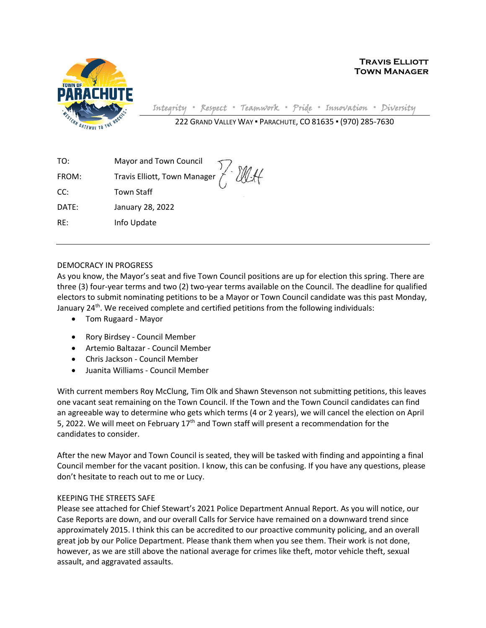

**Town Manager**

**Travis Elliott**

Integrity **▪** Respect **▪** Teamwork **▪** Pride **▪** Innovation **▪** Diversity 222 GRAND VALLEY WAY ▪ PARACHUTE, CO 81635 ▪ (970) 285-7630

TO: Mayor and Town Council FROM: Travis Elliott, Town Manager CC: Town Staff DATE: January 28, 2022 RE: Info Update

#### DEMOCRACY IN PROGRESS

As you know, the Mayor's seat and five Town Council positions are up for election this spring. There are three (3) four-year terms and two (2) two-year terms available on the Council. The deadline for qualified electors to submit nominating petitions to be a Mayor or Town Council candidate was this past Monday, January 24<sup>th</sup>. We received complete and certified petitions from the following individuals:

- Tom Rugaard Mayor
- Rory Birdsey Council Member
- Artemio Baltazar Council Member
- Chris Jackson Council Member
- Juanita Williams Council Member

With current members Roy McClung, Tim Olk and Shawn Stevenson not submitting petitions, this leaves one vacant seat remaining on the Town Council. If the Town and the Town Council candidates can find an agreeable way to determine who gets which terms (4 or 2 years), we will cancel the election on April 5, 2022. We will meet on February  $17<sup>th</sup>$  and Town staff will present a recommendation for the candidates to consider.

After the new Mayor and Town Council is seated, they will be tasked with finding and appointing a final Council member for the vacant position. I know, this can be confusing. If you have any questions, please don't hesitate to reach out to me or Lucy.

#### KEEPING THE STREETS SAFE

Please see attached for Chief Stewart's 2021 Police Department Annual Report. As you will notice, our Case Reports are down, and our overall Calls for Service have remained on a downward trend since approximately 2015. I think this can be accredited to our proactive community policing, and an overall great job by our Police Department. Please thank them when you see them. Their work is not done, however, as we are still above the national average for crimes like theft, motor vehicle theft, sexual assault, and aggravated assaults.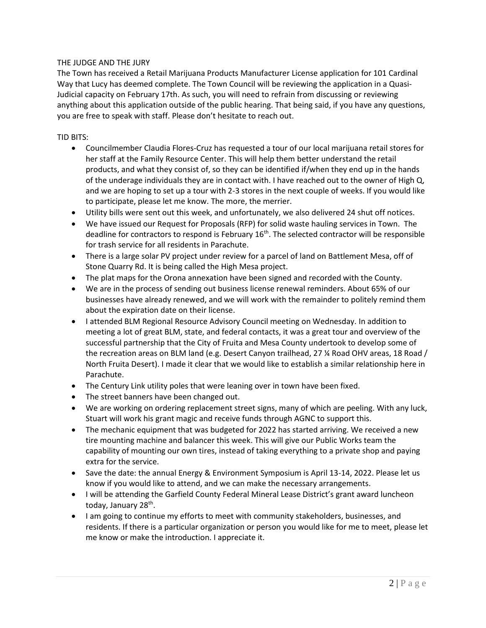#### THE JUDGE AND THE JURY

The Town has received a Retail Marijuana Products Manufacturer License application for 101 Cardinal Way that Lucy has deemed complete. The Town Council will be reviewing the application in a Quasi-Judicial capacity on February 17th. As such, you will need to refrain from discussing or reviewing anything about this application outside of the public hearing. That being said, if you have any questions, you are free to speak with staff. Please don't hesitate to reach out.

#### TID BITS:

- Councilmember Claudia Flores-Cruz has requested a tour of our local marijuana retail stores for her staff at the Family Resource Center. This will help them better understand the retail products, and what they consist of, so they can be identified if/when they end up in the hands of the underage individuals they are in contact with. I have reached out to the owner of High Q, and we are hoping to set up a tour with 2-3 stores in the next couple of weeks. If you would like to participate, please let me know. The more, the merrier.
- Utility bills were sent out this week, and unfortunately, we also delivered 24 shut off notices.
- We have issued our Request for Proposals (RFP) for solid waste hauling services in Town. The deadline for contractors to respond is February 16<sup>th</sup>. The selected contractor will be responsible for trash service for all residents in Parachute.
- There is a large solar PV project under review for a parcel of land on Battlement Mesa, off of Stone Quarry Rd. It is being called the High Mesa project.
- The plat maps for the Orona annexation have been signed and recorded with the County.
- We are in the process of sending out business license renewal reminders. About 65% of our businesses have already renewed, and we will work with the remainder to politely remind them about the expiration date on their license.
- I attended BLM Regional Resource Advisory Council meeting on Wednesday. In addition to meeting a lot of great BLM, state, and federal contacts, it was a great tour and overview of the successful partnership that the City of Fruita and Mesa County undertook to develop some of the recreation areas on BLM land (e.g. Desert Canyon trailhead, 27 ¼ Road OHV areas, 18 Road / North Fruita Desert). I made it clear that we would like to establish a similar relationship here in Parachute.
- The Century Link utility poles that were leaning over in town have been fixed.
- The street banners have been changed out.
- We are working on ordering replacement street signs, many of which are peeling. With any luck, Stuart will work his grant magic and receive funds through AGNC to support this.
- The mechanic equipment that was budgeted for 2022 has started arriving. We received a new tire mounting machine and balancer this week. This will give our Public Works team the capability of mounting our own tires, instead of taking everything to a private shop and paying extra for the service.
- Save the date: the annual Energy & Environment Symposium is April 13-14, 2022. Please let us know if you would like to attend, and we can make the necessary arrangements.
- I will be attending the Garfield County Federal Mineral Lease District's grant award luncheon today, January 28<sup>th</sup>.
- I am going to continue my efforts to meet with community stakeholders, businesses, and residents. If there is a particular organization or person you would like for me to meet, please let me know or make the introduction. I appreciate it.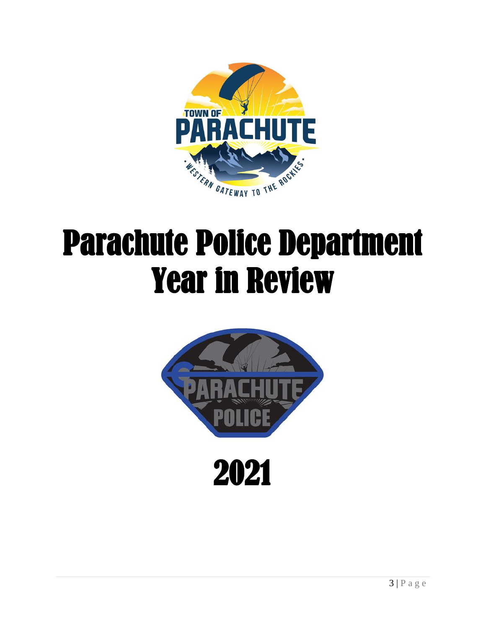

## Parachute Police Department Year in Review

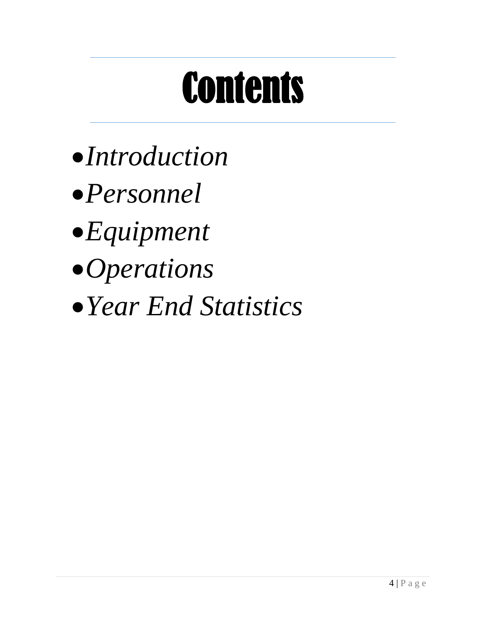# **Contents**

- •*Introduction*
- •*Personnel*
- •*Equipment*
- •*Operations*
- •*Year End Statistics*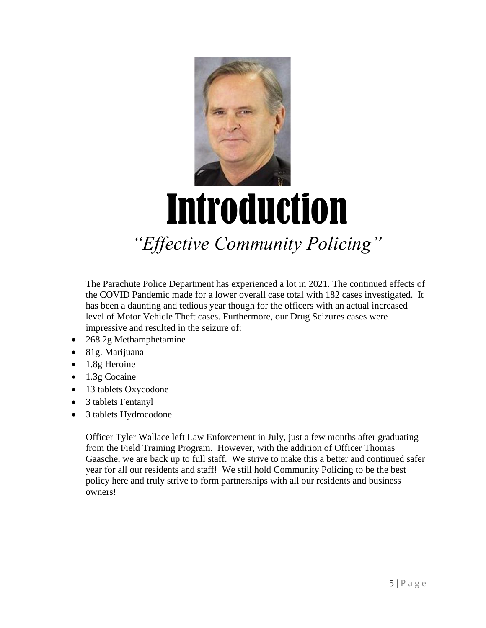

## Introduction *"Effective Community Policing"*

The Parachute Police Department has experienced a lot in 2021. The continued effects of the COVID Pandemic made for a lower overall case total with 182 cases investigated. It has been a daunting and tedious year though for the officers with an actual increased level of Motor Vehicle Theft cases. Furthermore, our Drug Seizures cases were impressive and resulted in the seizure of:

- 268.2g Methamphetamine
- 81g. Marijuana
- 1.8g Heroine
- 1.3g Cocaine
- 13 tablets Oxycodone
- 3 tablets Fentanyl
- 3 tablets Hydrocodone

Officer Tyler Wallace left Law Enforcement in July, just a few months after graduating from the Field Training Program. However, with the addition of Officer Thomas Gaasche, we are back up to full staff. We strive to make this a better and continued safer year for all our residents and staff! We still hold Community Policing to be the best policy here and truly strive to form partnerships with all our residents and business owners!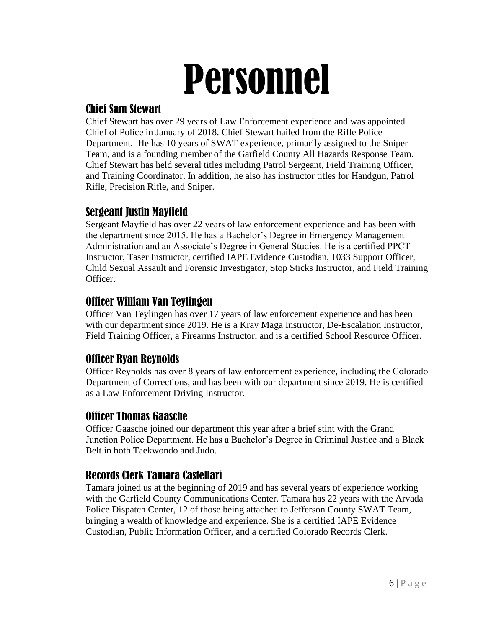# Personnel

### Chief Sam Stewart

Chief Stewart has over 29 years of Law Enforcement experience and was appointed Chief of Police in January of 2018. Chief Stewart hailed from the Rifle Police Department. He has 10 years of SWAT experience, primarily assigned to the Sniper Team, and is a founding member of the Garfield County All Hazards Response Team. Chief Stewart has held several titles including Patrol Sergeant, Field Training Officer, and Training Coordinator. In addition, he also has instructor titles for Handgun, Patrol Rifle, Precision Rifle, and Sniper.

### Sergeant Justin Mayfield

Sergeant Mayfield has over 22 years of law enforcement experience and has been with the department since 2015. He has a Bachelor's Degree in Emergency Management Administration and an Associate's Degree in General Studies. He is a certified PPCT Instructor, Taser Instructor, certified IAPE Evidence Custodian, 1033 Support Officer, Child Sexual Assault and Forensic Investigator, Stop Sticks Instructor, and Field Training Officer.

### Officer William Van Teylingen

Officer Van Teylingen has over 17 years of law enforcement experience and has been with our department since 2019. He is a Krav Maga Instructor, De-Escalation Instructor, Field Training Officer, a Firearms Instructor, and is a certified School Resource Officer.

### Officer Ryan Reynolds

Officer Reynolds has over 8 years of law enforcement experience, including the Colorado Department of Corrections, and has been with our department since 2019. He is certified as a Law Enforcement Driving Instructor.

### Officer Thomas Gaasche

Officer Gaasche joined our department this year after a brief stint with the Grand Junction Police Department. He has a Bachelor's Degree in Criminal Justice and a Black Belt in both Taekwondo and Judo.

### Records Clerk Tamara Castellari

Tamara joined us at the beginning of 2019 and has several years of experience working with the Garfield County Communications Center. Tamara has 22 years with the Arvada Police Dispatch Center, 12 of those being attached to Jefferson County SWAT Team, bringing a wealth of knowledge and experience. She is a certified IAPE Evidence Custodian, Public Information Officer, and a certified Colorado Records Clerk.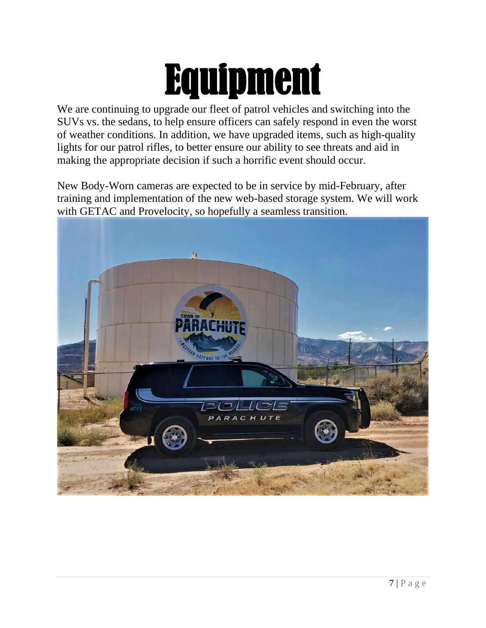## Equipment

We are continuing to upgrade our fleet of patrol vehicles and switching into the SUVs vs. the sedans, to help ensure officers can safely respond in even the worst of weather conditions. In addition, we have upgraded items, such as high-quality lights for our patrol rifles, to better ensure our ability to see threats and aid in making the appropriate decision if such a horrific event should occur.

New Body-Worn cameras are expected to be in service by mid-February, after training and implementation of the new web-based storage system. We will work with GETAC and Provelocity, so hopefully a seamless transition.

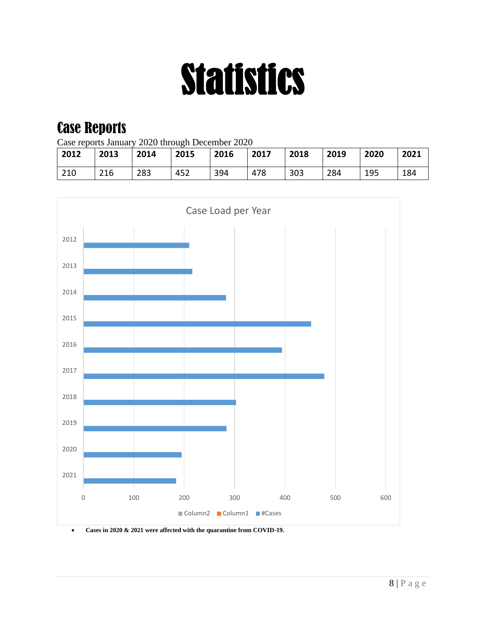# Statistics

### Case Reports

Case reports January 2020 through December 2020

| 2012 | 2013 | 2014 | 2015 | 2016 | 2017 | 2018 | 2019 | 2020 | 2021 |
|------|------|------|------|------|------|------|------|------|------|
| 210  | 216  | 283  | 452  | 394  | 478  | 303  | 284  | 195  | 184  |



• **Cases in 2020 & 2021 were affected with the quarantine from COVID-19.**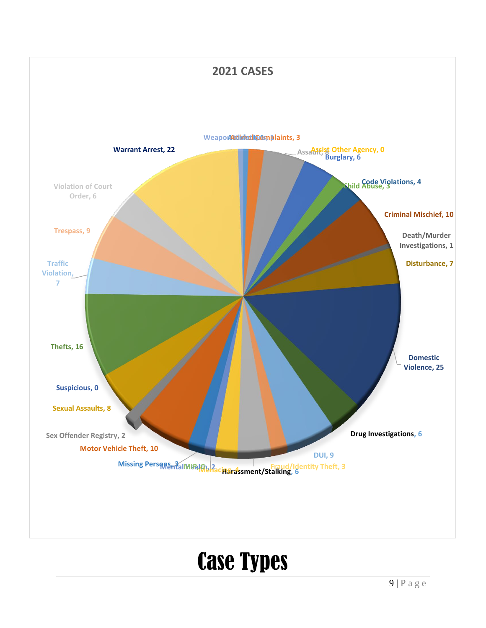

## Case Types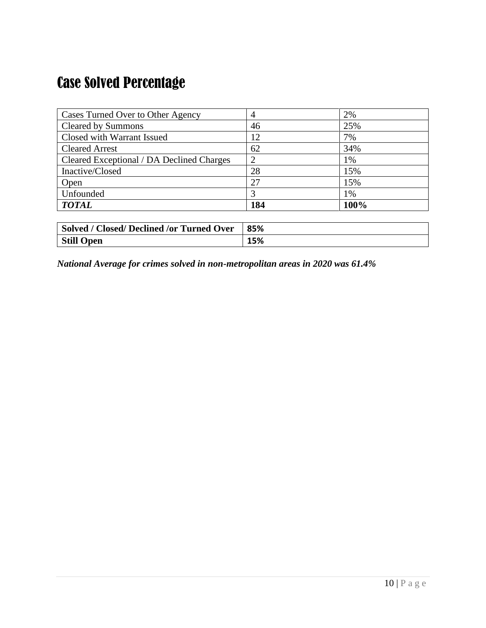## Case Solved Percentage

| <b>Cases Turned Over to Other Agency</b>  | 4   | 2%   |
|-------------------------------------------|-----|------|
| <b>Cleared by Summons</b>                 | 46  | 25%  |
| Closed with Warrant Issued                | 12  | 7%   |
| <b>Cleared Arrest</b>                     | 62  | 34%  |
| Cleared Exceptional / DA Declined Charges |     | 1%   |
| Inactive/Closed                           | 28  | 15%  |
| Open                                      | 27  | 15%  |
| Unfounded                                 |     | 1%   |
| <b>TOTAL</b>                              | 184 | 100% |

| Solved / Closed/ Declined /or Turned Over | 85% |
|-------------------------------------------|-----|
| <b>Still Open</b>                         | 15% |

*National Average for crimes solved in non-metropolitan areas in 2020 was 61.4%*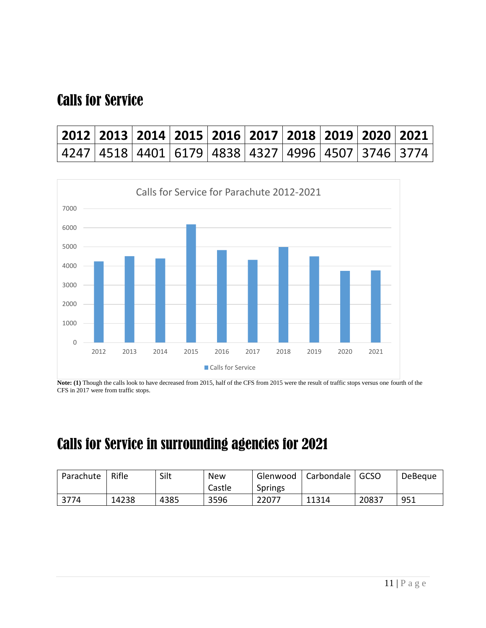## Calls for Service

| 2012   2013   2014   2015   2016   2017   2018   2019   2020   2021 |  |  |  |  |  |
|---------------------------------------------------------------------|--|--|--|--|--|
| 4247   4518   4401   6179   4838   4327   4996   4507   3746   3774 |  |  |  |  |  |



**Note: (1)** Though the calls look to have decreased from 2015, half of the CFS from 2015 were the result of traffic stops versus one fourth of the CFS in 2017 were from traffic stops.

## Calls for Service in surrounding agencies for 2021

| Parachute | Rifle | Silt | New    | Glenwood       | Carbondale | <b>GCSO</b> | DeBeque |
|-----------|-------|------|--------|----------------|------------|-------------|---------|
|           |       |      | Castle | <b>Springs</b> |            |             |         |
| 3774      | 14238 | 4385 | 3596   | 22077          | 11314      | 20837       | 951     |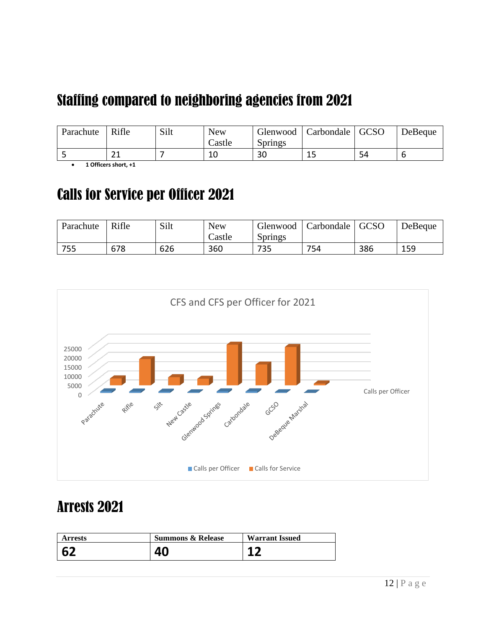## Staffing compared to neighboring agencies from 2021

| Parachute | Rifle        | Silt | <b>New</b>       | Glenwood       | Carbondale   GCSO |    | DeBeque |
|-----------|--------------|------|------------------|----------------|-------------------|----|---------|
|           |              |      | $\text{ Castle}$ | <b>Springs</b> |                   |    |         |
|           | $\sim$<br>ᅩᆂ |      | 10               | 30             | <b></b>           | 54 |         |

• **1 Officers short, +1** 

### Calls for Service per Officer 2021

| Parachute | Rifle | Silt | <b>New</b> | Glenwood       | Carbondale | <b>GCSO</b> | DeBeque |
|-----------|-------|------|------------|----------------|------------|-------------|---------|
|           |       |      | Castle     | <b>Springs</b> |            |             |         |
| 755       | 678   | 626  | 360        | 735            | 754        | 386         | 159     |



### Arrests 2021

| <b>Arrests</b> | <b>Summons &amp; Release</b> | <b>Warrant Issued</b> |
|----------------|------------------------------|-----------------------|
| $\overline{2}$ |                              |                       |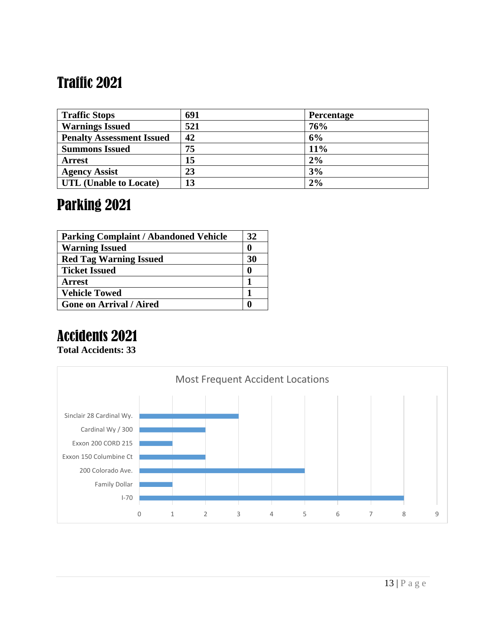## Traffic 2021

| <b>Traffic Stops</b>             | 691 | <b>Percentage</b> |
|----------------------------------|-----|-------------------|
| <b>Warnings Issued</b>           | 521 | 76%               |
| <b>Penalty Assessment Issued</b> | 42  | 6%                |
| <b>Summons Issued</b>            | 75  | 11%               |
| <b>Arrest</b>                    | 15  | 2%                |
| <b>Agency Assist</b>             | 23  | 3%                |
| UTL (Unable to Locate)           | 13  | 2%                |

## Parking 2021

| <b>Parking Complaint / Abandoned Vehicle</b> | 32 |
|----------------------------------------------|----|
| <b>Warning Issued</b>                        |    |
| <b>Red Tag Warning Issued</b>                | 30 |
| <b>Ticket Issued</b>                         |    |
| <b>Arrest</b>                                |    |
| <b>Vehicle Towed</b>                         |    |
| <b>Gone on Arrival / Aired</b>               |    |

## Accidents 2021

**Total Accidents: 33**

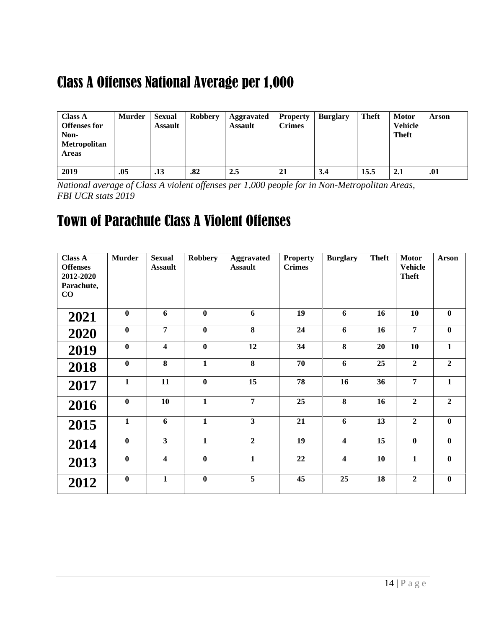## Class A Offenses National Average per 1,000

| <b>Class A</b><br><b>Offenses for</b><br>Non-<br>Metropolitan<br><b>Areas</b> | <b>Murder</b> | <b>Sexual</b><br><b>Assault</b> | <b>Robbery</b> | Aggravated<br><b>Assault</b> | <b>Property</b><br><b>Crimes</b> | <b>Burglary</b> | <b>Theft</b> | <b>Motor</b><br><b>Vehicle</b><br><b>Theft</b> | Arson |
|-------------------------------------------------------------------------------|---------------|---------------------------------|----------------|------------------------------|----------------------------------|-----------------|--------------|------------------------------------------------|-------|
| 2019                                                                          | .05           | .13                             | .82            | 2.5                          | 21                               | 3.4             | 15.5         | 2.1                                            | .01   |

*National average of Class A violent offenses per 1,000 people for in Non-Metropolitan Areas, FBI UCR stats 2019*

### Town of Parachute Class A Violent Offenses

| <b>Class A</b><br><b>Offenses</b><br>2012-2020<br>Parachute,<br>$\bf CO$ | <b>Murder</b> | <b>Sexual</b><br><b>Assault</b> | <b>Robbery</b> | <b>Aggravated</b><br><b>Assault</b> | <b>Property</b><br><b>Crimes</b> | <b>Burglary</b>         | <b>Theft</b> | <b>Motor</b><br><b>Vehicle</b><br><b>Theft</b> | <b>Arson</b>   |
|--------------------------------------------------------------------------|---------------|---------------------------------|----------------|-------------------------------------|----------------------------------|-------------------------|--------------|------------------------------------------------|----------------|
| 2021                                                                     | $\bf{0}$      | 6                               | $\bf{0}$       | 6                                   | 19                               | 6                       | 16           | 10                                             | $\bf{0}$       |
| 2020                                                                     | $\bf{0}$      | $\overline{7}$                  | $\bf{0}$       | 8                                   | 24                               | 6                       | 16           | $\overline{7}$                                 | $\bf{0}$       |
| 2019                                                                     | $\bf{0}$      | $\overline{\mathbf{4}}$         | $\bf{0}$       | 12                                  | 34                               | 8                       | 20           | 10                                             | $\mathbf{1}$   |
| 2018                                                                     | $\bf{0}$      | 8                               | $\mathbf{1}$   | 8                                   | 70                               | 6                       | 25           | $\overline{2}$                                 | $\overline{2}$ |
| 2017                                                                     | $\mathbf{1}$  | 11                              | $\bf{0}$       | 15                                  | 78                               | 16                      | 36           | 7                                              | $\mathbf{1}$   |
| 2016                                                                     | $\bf{0}$      | 10                              | $\mathbf{1}$   | $\overline{7}$                      | 25                               | 8                       | 16           | $\overline{2}$                                 | $\overline{2}$ |
| 2015                                                                     | $\mathbf{1}$  | 6                               | $\mathbf{1}$   | $\mathbf{3}$                        | 21                               | 6                       | 13           | $\overline{2}$                                 | $\bf{0}$       |
| 2014                                                                     | $\bf{0}$      | $\overline{\mathbf{3}}$         | $\mathbf{1}$   | $\overline{2}$                      | 19                               | $\overline{\mathbf{4}}$ | 15           | $\bf{0}$                                       | $\mathbf{0}$   |
| 2013                                                                     | $\bf{0}$      | $\overline{\mathbf{4}}$         | $\bf{0}$       | $\mathbf{1}$                        | 22                               | $\overline{\mathbf{4}}$ | 10           | $\mathbf{1}$                                   | $\bf{0}$       |
| 2012                                                                     | $\bf{0}$      | $\mathbf{1}$                    | $\bf{0}$       | $\overline{5}$                      | 45                               | 25                      | 18           | $\overline{2}$                                 | $\bf{0}$       |